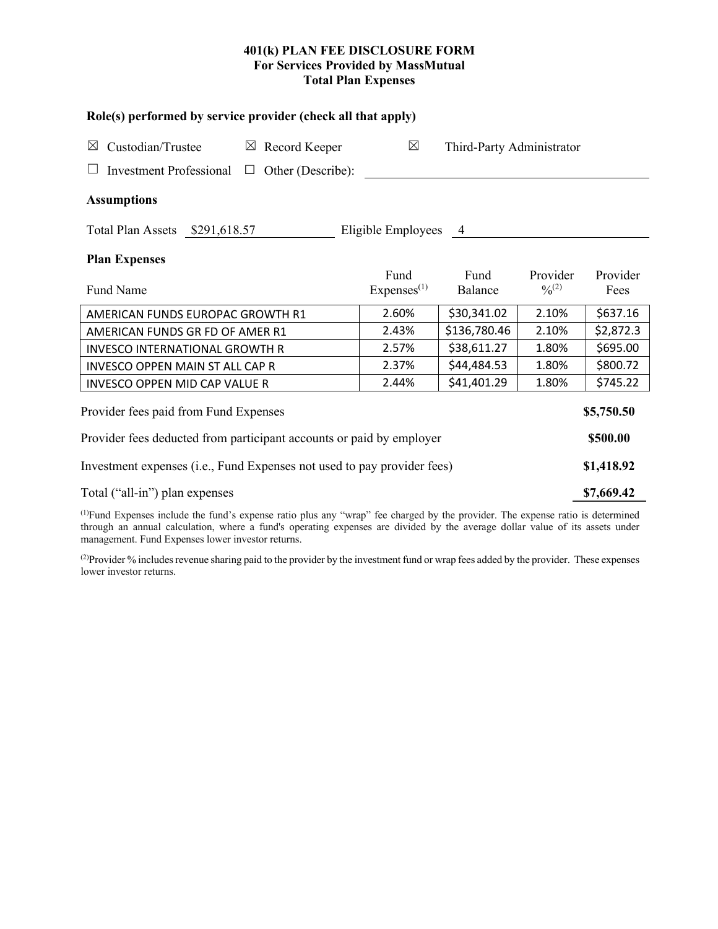# **401(k) PLAN FEE DISCLOSURE FORM For Services Provided by MassMutual Total Plan Expenses**

| Role(s) performed by service provider (check all that apply)            |                                |                           |                         |                  |  |  |  |  |  |
|-------------------------------------------------------------------------|--------------------------------|---------------------------|-------------------------|------------------|--|--|--|--|--|
| Custodian/Trustee<br>$\boxtimes$ Record Keeper<br>$\boxtimes$           | $\boxtimes$                    | Third-Party Administrator |                         |                  |  |  |  |  |  |
| <b>Investment Professional</b><br>Other (Describe):<br>$\Box$           |                                |                           |                         |                  |  |  |  |  |  |
| <b>Assumptions</b>                                                      |                                |                           |                         |                  |  |  |  |  |  |
| Total Plan Assets \$291,618.57<br>Eligible Employees 4                  |                                |                           |                         |                  |  |  |  |  |  |
| <b>Plan Expenses</b>                                                    |                                |                           |                         |                  |  |  |  |  |  |
| <b>Fund Name</b>                                                        | Fund<br>Express <sup>(1)</sup> | Fund<br>Balance           | Provider<br>$0/0^{(2)}$ | Provider<br>Fees |  |  |  |  |  |
| AMERICAN FUNDS EUROPAC GROWTH R1                                        | 2.60%                          | \$30,341.02               | 2.10%                   | \$637.16         |  |  |  |  |  |
| AMERICAN FUNDS GR FD OF AMER R1                                         | 2.43%                          | \$136,780.46              | 2.10%                   | \$2,872.3        |  |  |  |  |  |
| <b>INVESCO INTERNATIONAL GROWTH R</b>                                   | 2.57%                          | \$38,611.27               | 1.80%                   | \$695.00         |  |  |  |  |  |
| <b>INVESCO OPPEN MAIN ST ALL CAP R</b>                                  | 2.37%                          | \$44,484.53               | 1.80%                   | \$800.72         |  |  |  |  |  |
| <b>INVESCO OPPEN MID CAP VALUE R</b>                                    | 2.44%                          | \$41,401.29               | 1.80%                   | \$745.22         |  |  |  |  |  |
| Provider fees paid from Fund Expenses<br>\$5,750.50                     |                                |                           |                         |                  |  |  |  |  |  |
| Provider fees deducted from participant accounts or paid by employer    |                                |                           |                         |                  |  |  |  |  |  |
| Investment expenses (i.e., Fund Expenses not used to pay provider fees) |                                |                           |                         |                  |  |  |  |  |  |
| Total ("all-in") plan expenses                                          |                                |                           |                         |                  |  |  |  |  |  |

(1) Fund Expenses include the fund's expense ratio plus any "wrap" fee charged by the provider. The expense ratio is determined through an annual calculation, where a fund's operating expenses are divided by the average dollar value of its assets under management. Fund Expenses lower investor returns.

(2) Provider % includes revenue sharing paid to the provider by the investment fund or wrap fees added by the provider. These expenses lower investor returns.